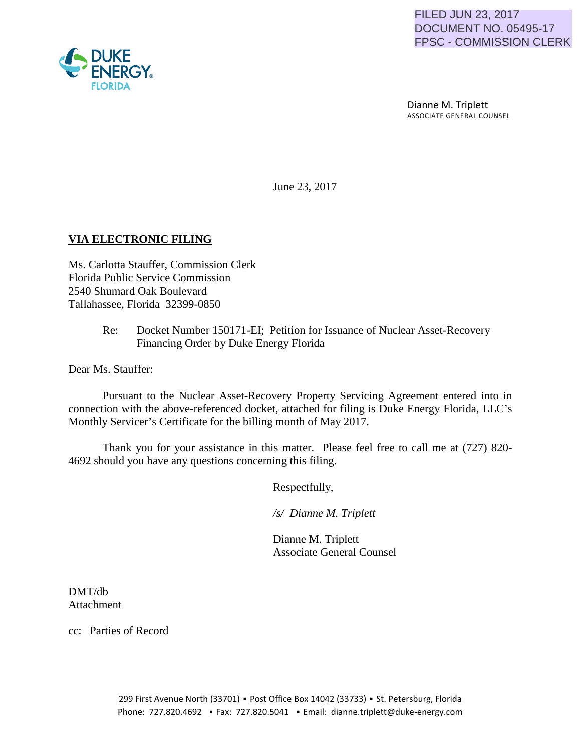

 Dianne M. Triplett ASSOCIATE GENERAL COUNSEL

June 23, 2017

# **VIA ELECTRONIC FILING**

Ms. Carlotta Stauffer, Commission Clerk Florida Public Service Commission 2540 Shumard Oak Boulevard Tallahassee, Florida 32399-0850

> Re: Docket Number 150171-EI; Petition for Issuance of Nuclear Asset-Recovery Financing Order by Duke Energy Florida

Dear Ms. Stauffer:

Pursuant to the Nuclear Asset-Recovery Property Servicing Agreement entered into in connection with the above-referenced docket, attached for filing is Duke Energy Florida, LLC's Monthly Servicer's Certificate for the billing month of May 2017.

Thank you for your assistance in this matter. Please feel free to call me at (727) 820- 4692 should you have any questions concerning this filing.

Respectfully,

 */s/ Dianne M. Triplett*

 Dianne M. Triplett Associate General Counsel

DMT/db Attachment

cc: Parties of Record

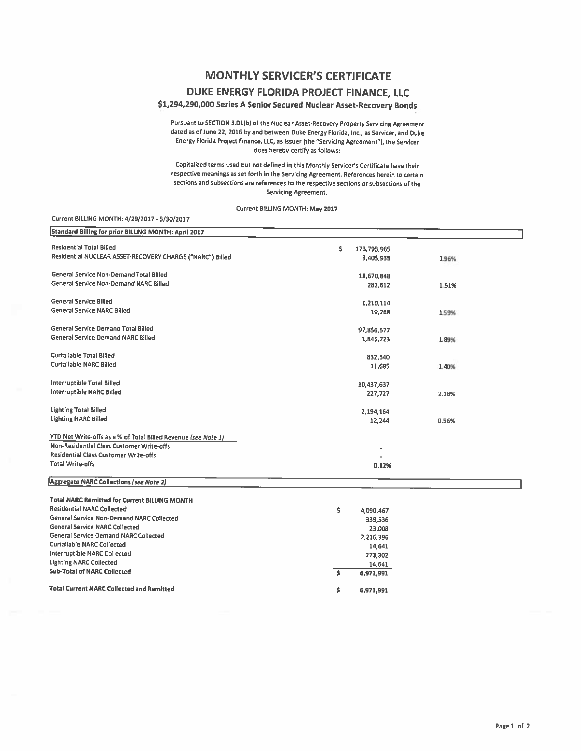## **MONTHLY SERVICER'S CERTIFICATE**

### **DUKE ENERGY FLORIDA PROJECT FINANCE, LLC**

### \$1,294,290,000 Series **A** Senior Secured Nuclear Asset-Recovery Bonds

Pursuant to SECTlON 3.01(b) of the Nuclear Asset-Recovery Property Serviclns Asreement dated as of June 22, 2016 by and between Duke Energy Florida, Inc., as Servicer, and Ouke Energy Florida Project Finance, LLC, as Issuer (the "Servicing Agreement"), the Servicer does hereby certify as follows:

Capitalized terms used but not defined in this Monthly Servicer's Certificate have their respective meanings as set forth in the Servicing Agreement. References herein to certain sections and subsections are references to the respective sections or subsections of the Servicing Agreement.

Current BILLING MONTH: May 2017

#### Current BllUNG MONTH: 4/29/2017 • 5/30/2017

| <b>Standard Billing for prior BILLING MONTH: April 2017</b>    |                    |       |  |
|----------------------------------------------------------------|--------------------|-------|--|
| <b>Residential Total Billed</b>                                | \$.<br>173,795,965 |       |  |
| Residential NUCLEAR ASSET-RECOVERY CHARGE ("NARC") Billed      | 3,405,935          | 1.96% |  |
| General Service Non-Demand Total Billed                        | 18,670,848         |       |  |
| General Service Non-Demand NARC Billed                         | 282,612            | 1.51% |  |
| <b>General Service Billed</b>                                  | 1,210,114          |       |  |
| <b>General Service NARC Billed</b>                             | 19,268             | 1.59% |  |
| General Service Demand Total Billed                            | 97,856,577         |       |  |
| General Service Demand NARC Billed                             | 1,845,723          | 1.89% |  |
| Curtailable Total Billed                                       | 832,540            |       |  |
| <b>Curtailable NARC Billed</b>                                 | 11,685             | 1.40% |  |
| <b>Interruptible Total Billed</b>                              | 10,437,637         |       |  |
| <b>Interruptible NARC Billed</b>                               | 227,727            | 2.18% |  |
| <b>Lighting Total Billed</b>                                   | 2,194,164          |       |  |
| <b>Lighting NARC Billed</b>                                    | 12,244             | 0.56% |  |
| YTD Net Write-offs as a % of Total Billed Revenue (see Note 1) |                    |       |  |
| Non-Residential Class Customer Write-offs                      |                    |       |  |
| Residential Class Customer Write-offs                          |                    |       |  |
| <b>Total Write-offs</b>                                        | 0.12%              |       |  |
| <b>Aggregate NARC Collections (see Note 2)</b>                 |                    |       |  |
| <b>Total NARC Remitted for Current BILLING MONTH</b>           |                    |       |  |
| <b>Residential NARC Collected</b>                              | \$<br>4,090,467    |       |  |
| General Service Non-Demand NARC Collected                      | 339,536            |       |  |
| <b>General Service NARC Collected</b>                          | 23,008             |       |  |
| General Service Demand NARC Collected                          | 2,216,396          |       |  |
| <b>Curtailable NARC Collected</b>                              | 14,641             |       |  |
| <b>Interruptible NARC Collected</b>                            | 273,302            |       |  |
| <b>Lighting NARC Collected</b>                                 | 14,641             |       |  |
| <b>Sub-Total of NARC Collected</b>                             | Ś.<br>6,971,991    |       |  |
| <b>Total Current NARC Collected and Remitted</b>               | \$<br>6,971,991    |       |  |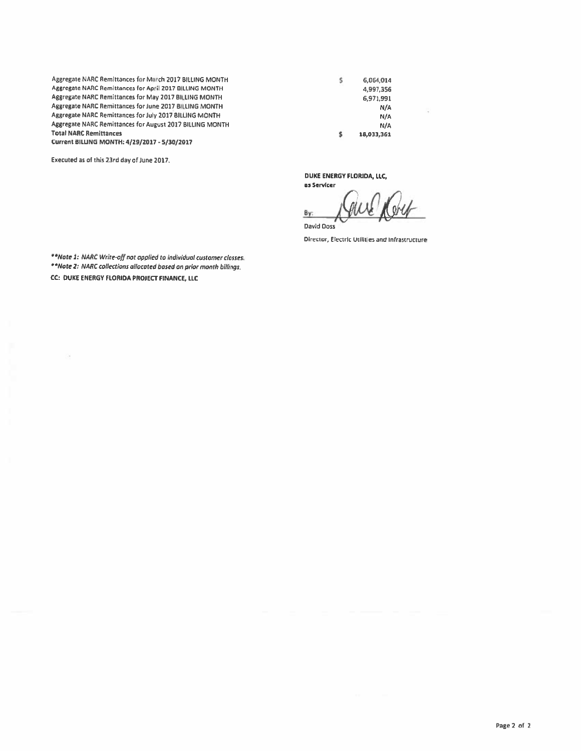Aggregate NARC Remittances for March 2017 BILLING MONTH Aggregate NARC Remittances for April 2017 BilLING MONTH Aggregate NARC Remittances for May 2017 BILLING MONTH Aggregate NARC Remittances for June 2017 BilliNG MONTH Aggregate NARC Remittances for July 2017 BILLING MONTH Aggregate NARC Remittances for August 2017 BilliNG MONTH **Total NARC Remittances** Current BILLING MONTH: 4/29/2017 • 5/30/2017

Executed as of this 23rd day of June 2017.

\$ 6,971,991 N/A N/A N/A 18,033,361

6,064,014 4,997,356

5

DUKE ENERGY FLORIDA, LLC, as Servicer

s

By:

David Doss

Director, Electric Utilit es and Infrastructure

\*\*Note 1: NARC Write-off not applied to individual customer classes. \*\*Note 2: NARC collections allocated based on prior month billings. CC: DUKE ENERGY FLORIDA PROJECT FINANCE, LLC